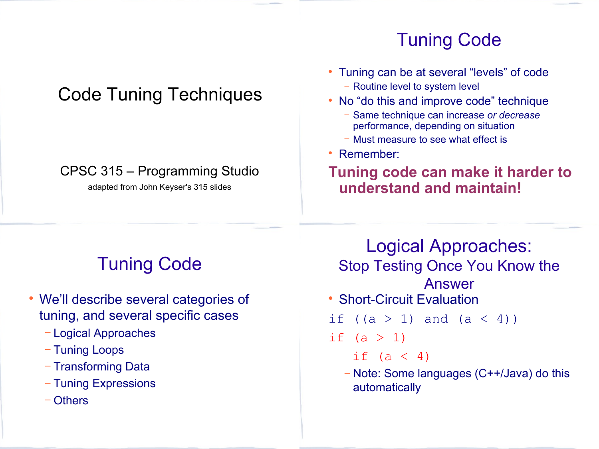# Code Tuning Techniques

#### CPSC 315 – Programming Studio

adapted from John Keyser's 315 slides

# Tuning Code

- Tuning can be at several "levels" of code − Routine level to system level
- No "do this and improve code" technique
	- − Same technique can increase *or decrease* performance, depending on situation
	- − Must measure to see what effect is
- Remember:

automatically

#### **Tuning code can make it harder to understand and maintain!**

# Tuning Code

- We'll describe several categories of tuning, and several specific cases
	- − Logical Approaches
	- − Tuning Loops
	- − Transforming Data
	- − Tuning Expressions
	- − Others

Logical Approaches: Stop Testing Once You Know the Answer • Short-Circuit Evaluation if  $((a > 1)$  and  $(a < 4))$ if  $(a > 1)$ if  $(a < 4)$ − Note: Some languages (C++/Java) do this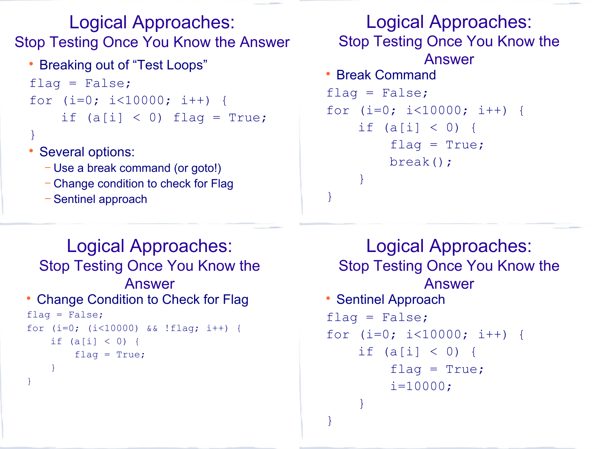Logical Approaches: Stop Testing Once You Know the Answer

```
• Breaking out of "Test Loops"
flag = False;for (i=0; i<10000; i++) {
    if (a[i] < 0) flag = True;
}
```
- Several options:
	- − Use a break command (or goto!)
	- − Change condition to check for Flag
	- − Sentinel approach

```
Logical Approaches:
 Stop Testing Once You Know the 
            Answer
 Break Command
flag = False;for (i=0; i<10000; i++) {
    if (a[i] < 0) {
        flag = True; break();
 }
}
```

```
Logical Approaches:
 Stop Testing Once You Know the 
              Answer
• Change Condition to Check for Flag
flag = False;for (i=0; (i<10000) && !flag; i++) {
   if (a[i] < 0) {
       flag = True; }
}
```

```
Logical Approaches:
 Stop Testing Once You Know the 
            Answer
• Sentinel Approach
flag = False;for (i=0; i<10000; i++) {
    if (a[i] < 0) {
        flag = True;i=10000; }
}
```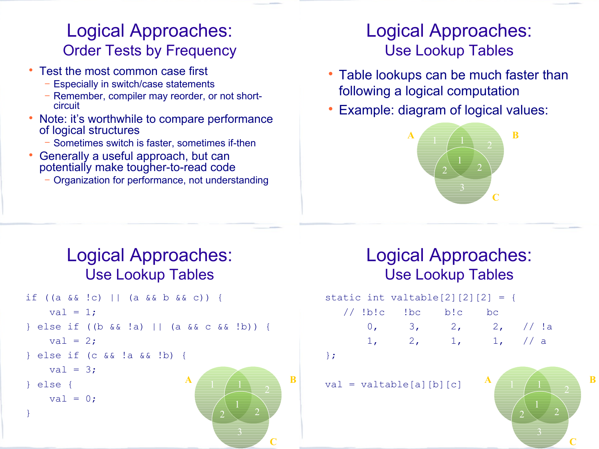#### Logical Approaches: Order Tests by Frequency

- Test the most common case first
	- − Especially in switch/case statements
	- − Remember, compiler may reorder, or not shortcircuit
- Note: it's worthwhile to compare performance of logical structures
	- − Sometimes switch is faster, sometimes if-then
- Generally a useful approach, but can potentially make tougher-to-read code
	- − Organization for performance, not understanding

#### Logical Approaches: Use Lookup Tables

- Table lookups can be much faster than following a logical computation
- Example: diagram of logical values:



#### Logical Approaches: Use Lookup Tables

```
if ((a && !c) || (a && b && c)) {
   val = 1;} else if ((b && !a) || (a && c && !b)) {
   val = 2;
} else if (c && !a && !b) {
   val = 3:
} else {
   val = 0;
}
                            \mathbf{A} 1 1 \mathbf{B}
```
#### Logical Approaches: Use Lookup Tables

|  | static int valtable [2] $[2] [2] = {$ |  |  |
|--|---------------------------------------|--|--|
|  |                                       |  |  |
|  | 0, 3, 2, 2, // !a                     |  |  |
|  | 1, 2, 1, 1, 1                         |  |  |
|  |                                       |  |  |

};

**C**

 $val = valtable[a][b][c]$ 

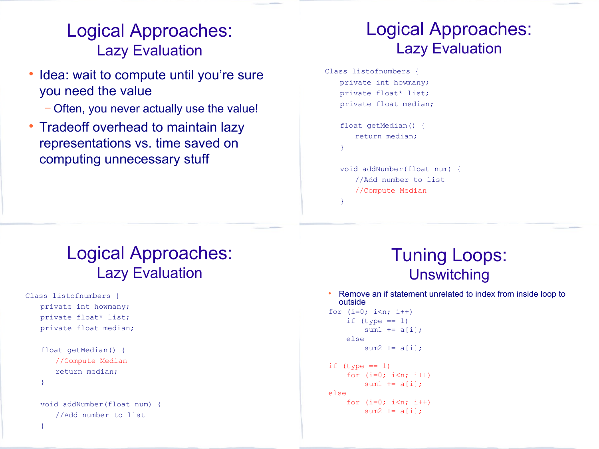#### Logical Approaches: Lazy Evaluation

- Idea: wait to compute until you're sure you need the value
	- − Often, you never actually use the value!
- Tradeoff overhead to maintain lazy representations vs. time saved on computing unnecessary stuff

#### Logical Approaches: Lazy Evaluation

Class listofnumbers { private int howmany; private float\* list; private float median;

```
float getMedian() {
   return median;
}
```
}

```
void addNumber(float num) {
   //Add number to list
   //Compute Median
```
#### Logical Approaches: Lazy Evaluation

```
Class listofnumbers {
   private int howmany;
   private float* list;
   private float median;
```

```
float getMedian() {
   //Compute Median
   return median;
}
```
}

```
void addNumber(float num) {
   //Add number to list
```
#### Tuning Loops: **Unswitching**

 Remove an if statement unrelated to index from inside loop to outside

```
for (i=0; i\leq n; i++)if (type == 1)sum1 += a[i]; else 
        sum2 += a[i];
```

```
if (type == 1)for (i=0; i \le n; i++)sum1 += a[i];
else
    for (i=0; i\leq n; i++)sum2 += a[i];
```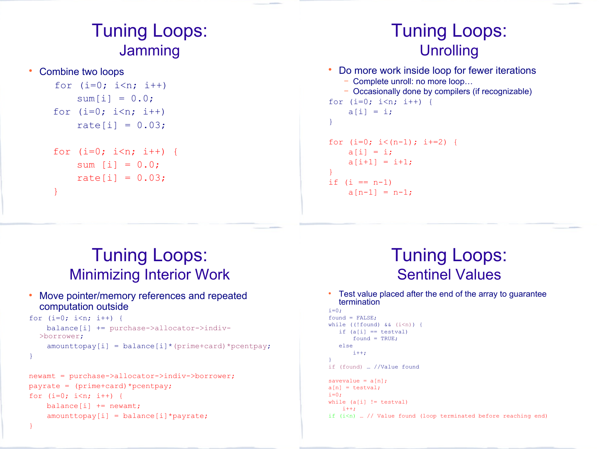#### Tuning Loops: **Jamming**

Combine two loops

```
for (i=0; i\leq n; i++)sum[i] = 0.0;for (i=0; i\leq n; i++)rate[i] = 0.03;
```

```
for (i=0; i \le n; i++) {
       sum [i] = 0.0:
       rate[i] = 0.03; }
```
#### Tuning Loops: **Unrolling**

```
• Do more work inside loop for fewer iterations
   − Complete unroll: no more loop…
   − Occasionally done by compilers (if recognizable)
for (i=0; i \le n; i++) {
    a[i] = i;}
for (i=0; i<(n-1); i+=2) {
    a[i] = i;a[i+1] = i+1;}
if (i == n-1)a[n-1] = n-1;
```
#### Tuning Loops: Minimizing Interior Work

 Move pointer/memory references and repeated computation outside

```
for (i=0; i \le n; i++) {
     balance[i] += purchase->allocator->indiv-
  >borrower;
    amounttopay[i] = balance[i] * (prime+card) * pcentpay;}
```

```
newamt = purchase->allocator->indiv->borrower;
payrate = (prime+card)*pcentpay;for (i=0; i \le n; i++) {
   balance[i] += newamt;amounttopay[i] = balance[i]*payrate;
```
#### Tuning Loops: Sentinel Values

 Test value placed after the end of the array to guarantee termination

```
i=0:
found = FALSE;while ((!found) &(i\leq n)) {
  if (a[i] == testval)fournd = TRUE:
   else
      i++;}
if (found) … //Value found
savevalue = a[n];
a[n] = testval;i=0;while (a[i] != testval)
   i++;if (i \le n) ... // Value found (loop terminated before reaching end)
```
}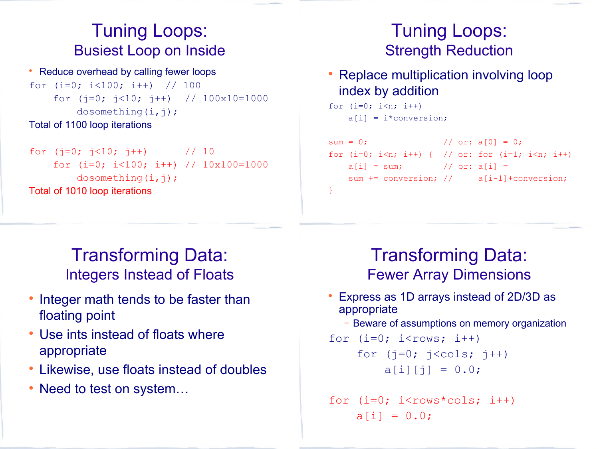#### Tuning Loops: Busiest Loop on Inside

• Reduce overhead by calling fewer loops for  $(i=0; i<100; i++)$  // 100 for  $(j=0; j<10; j++)$  //  $100x10=1000$ dosomething( $i, j$ ); Total of 1100 loop iterations

for  $(i=0; j<10; j++)$  // 10 for (i=0; i<100; i++) // 10x100=1000 dosomething $(i, j)$ ; Total of 1010 loop iterations

#### Tuning Loops: Strength Reduction

• Replace multiplication involving loop index by addition

```
for (i=0; i \le n; i++)a[i] = i*conversion;
```

```
sum = 0; // or: a[0] = 0;for (i=0; i\le n; i++) { // or: for (i=1; i\le n; i++)a[i] = sum; // or: a[i] =sum += conversion; // a[i-1]+conversion;
}
```
Transforming Data: Integers Instead of Floats

- Integer math tends to be faster than floating point
- Use ints instead of floats where appropriate
- Likewise, use floats instead of doubles
- Need to test on system...

#### Transforming Data: Fewer Array Dimensions

- Express as 1D arrays instead of 2D/3D as appropriate
	- − Beware of assumptions on memory organization

```
for (i=0; i<rows; i++)
   for (j=0; j<cols; j++)a[i][j] = 0.0;
```

```
for (i=0; i<rows*cols; i++)
    a[i] = 0.0;
```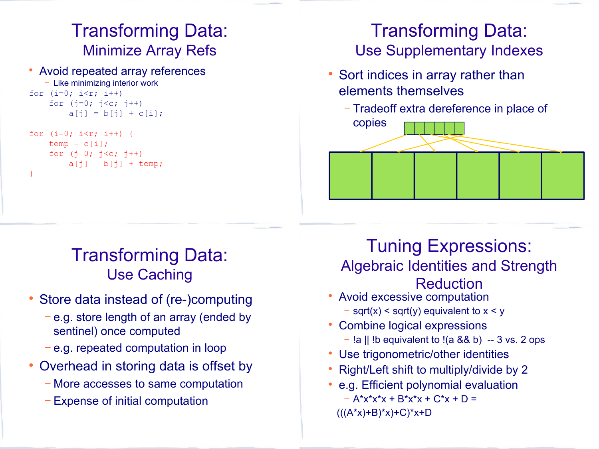## Transforming Data: Minimize Array Refs

 Avoid repeated array references − Like minimizing interior work for  $(i=0; i\leq r; i++)$ for  $(i=0; j < c; j++)$ 

```
a[i] = b[i] + c[i];for (i=0; i\leq r; i++) {
    temp = c[i];
    for (j=0; j < c; j++)a[j] = b[j] + temp;}
```
## Transforming Data: Use Supplementary Indexes

- Sort indices in array rather than elements themselves
	- − Tradeoff extra dereference in place of



## Transforming Data: Use Caching

- Store data instead of (re-)computing
	- − e.g. store length of an array (ended by sentinel) once computed
	- − e.g. repeated computation in loop
- Overhead in storing data is offset by
	- − More accesses to same computation
	- − Expense of initial computation

Tuning Expressions: Algebraic Identities and Strength Reduction

- Avoid excessive computation − sqrt(x) < sqrt(y) equivalent to x < y
- Combine logical expressions
	- − !a || !b equivalent to !(a && b) -- 3 vs. 2 ops
- Use trigonometric/other identities
- Right/Left shift to multiply/divide by 2
- e.g. Efficient polynomial evaluation  $- A^{*}x^{*}x^{*}x + B^{*}x^{*}x + C^{*}x + D =$  $(((A<sup>*</sup>x)+B)<sup>*</sup>x)+C)<sup>*</sup>x+D$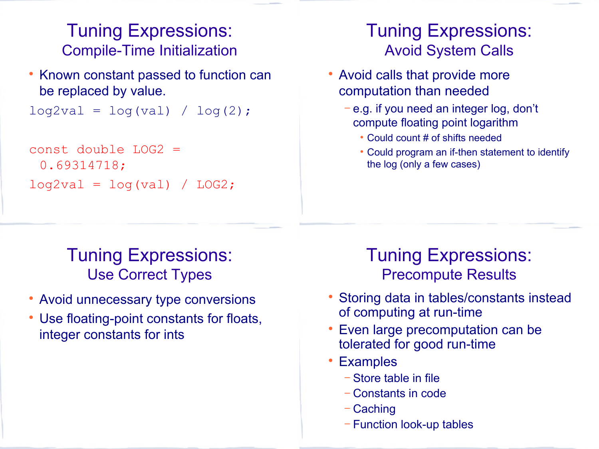#### Tuning Expressions: Compile-Time Initialization

• Known constant passed to function can be replaced by value.

```
log2val = log(val) / log(2);
```

```
const double LOG2 =0.69314718;
log2val = log(val) / LOG2;
```
#### Tuning Expressions: Avoid System Calls

- Avoid calls that provide more computation than needed
	- − e.g. if you need an integer log, don't compute floating point logarithm
		- Could count # of shifts needed
		- Could program an if-then statement to identify the log (only a few cases)

## Tuning Expressions: Use Correct Types

- Avoid unnecessary type conversions
- Use floating-point constants for floats, integer constants for ints

#### Tuning Expressions: Precompute Results

- Storing data in tables/constants instead of computing at run-time
- Even large precomputation can be tolerated for good run-time
- Examples
	- − Store table in file
	- − Constants in code
	- − Caching
	- − Function look-up tables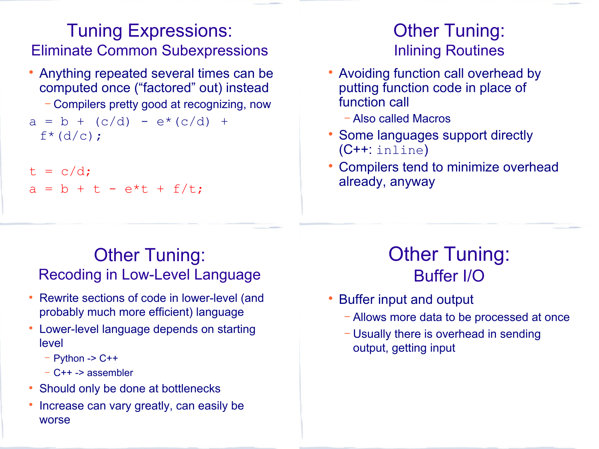#### Tuning Expressions: Eliminate Common Subexpressions

- Anything repeated several times can be computed once ("factored" out) instead − Compilers pretty good at recognizing, now  $a = b + (c/d) - e*(c/d) +$  $f^*(d/c)$ ;
- $t = c/d$ ;  $a = b + t - e^{t}t + f/t$ ;

#### Other Tuning: Inlining Routines

- Avoiding function call overhead by putting function code in place of function call
	- − Also called Macros
- Some languages support directly (C++: inline)
- Compilers tend to minimize overhead already, anyway

#### **Other Tuning:** Recoding in Low-Level Language

- Rewrite sections of code in lower-level (and probably much more efficient) language
- Lower-level language depends on starting level
	- − Python -> C++
	- − C++ -> assembler
- Should only be done at bottlenecks
- Increase can vary greatly, can easily be worse

# **Other Tuning:** Buffer I/O

- Buffer input and output
	- − Allows more data to be processed at once
	- − Usually there is overhead in sending output, getting input